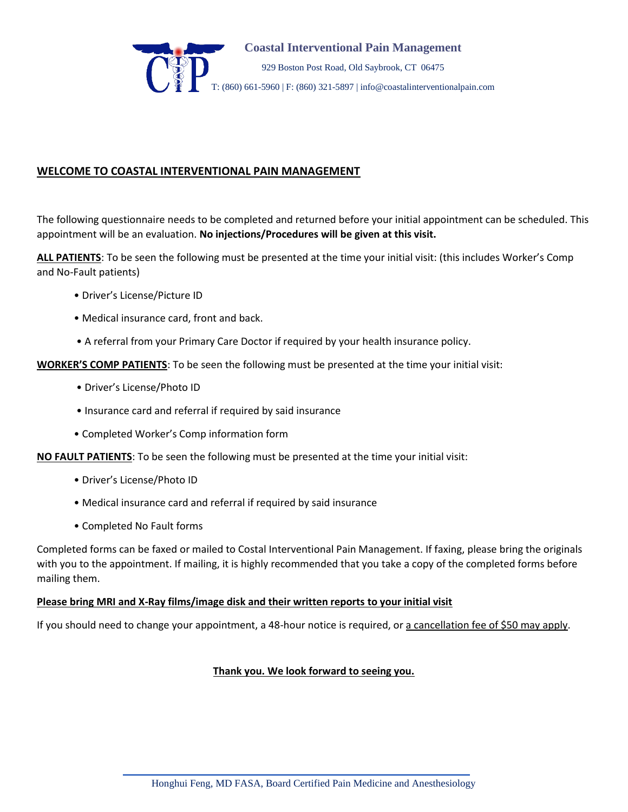

# **WELCOME TO COASTAL INTERVENTIONAL PAIN MANAGEMENT**

The following questionnaire needs to be completed and returned before your initial appointment can be scheduled. This appointment will be an evaluation. **No injections/Procedures will be given at this visit.**

**ALL PATIENTS**: To be seen the following must be presented at the time your initial visit: (this includes Worker's Comp and No-Fault patients)

- Driver's License/Picture ID
- Medical insurance card, front and back.
- A referral from your Primary Care Doctor if required by your health insurance policy.

**WORKER'S COMP PATIENTS**: To be seen the following must be presented at the time your initial visit:

- Driver's License/Photo ID
- Insurance card and referral if required by said insurance
- Completed Worker's Comp information form

**NO FAULT PATIENTS**: To be seen the following must be presented at the time your initial visit:

- Driver's License/Photo ID
- Medical insurance card and referral if required by said insurance
- Completed No Fault forms

Completed forms can be faxed or mailed to Costal Interventional Pain Management. If faxing, please bring the originals with you to the appointment. If mailing, it is highly recommended that you take a copy of the completed forms before mailing them.

### **Please bring MRI and X-Ray films/image disk and their written reports to your initial visit**

If you should need to change your appointment, a 48-hour notice is required, or a cancellation fee of \$50 may apply.

### **Thank you. We look forward to seeing you.**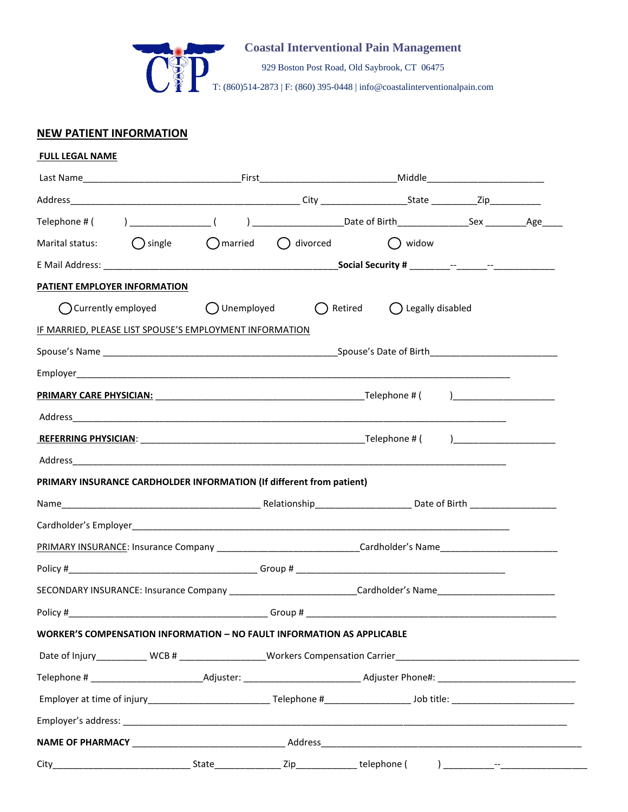

929 Boston Post Road, Old Saybrook, CT 06475

T: (860)514-2873 | F: (860) 395-0448 | info@coastalinterventionalpain.com

# **NEW PATIENT INFORMATION**

| Marital status: $\bigcap$ single $\bigcap$ married $\bigcap$ divorced                                          |  | () widow |  |
|----------------------------------------------------------------------------------------------------------------|--|----------|--|
|                                                                                                                |  |          |  |
| PATIENT EMPLOYER INFORMATION                                                                                   |  |          |  |
| ○ Currently employed ○ Unemployed ○ Retired ○ Legally disabled                                                 |  |          |  |
| IF MARRIED, PLEASE LIST SPOUSE'S EMPLOYMENT INFORMATION                                                        |  |          |  |
|                                                                                                                |  |          |  |
|                                                                                                                |  |          |  |
|                                                                                                                |  |          |  |
|                                                                                                                |  |          |  |
|                                                                                                                |  |          |  |
|                                                                                                                |  |          |  |
|                                                                                                                |  |          |  |
| PRIMARY INSURANCE CARDHOLDER INFORMATION (If different from patient)                                           |  |          |  |
|                                                                                                                |  |          |  |
|                                                                                                                |  |          |  |
| PRIMARY INSURANCE: Insurance Company ______________________________Cardholder's Name__________________________ |  |          |  |
|                                                                                                                |  |          |  |
| SECONDARY INSURANCE: Insurance Company _____________________________Cardholder's Name_________________________ |  |          |  |
| Policy # Group # Group # Group # Group # C                                                                     |  |          |  |
| WORKER'S COMPENSATION INFORMATION - NO FAULT INFORMATION AS APPLICABLE                                         |  |          |  |
| Date of Injury___________ WCB # __________________Workers Compensation Carrier________________________________ |  |          |  |
|                                                                                                                |  |          |  |
|                                                                                                                |  |          |  |
|                                                                                                                |  |          |  |
|                                                                                                                |  |          |  |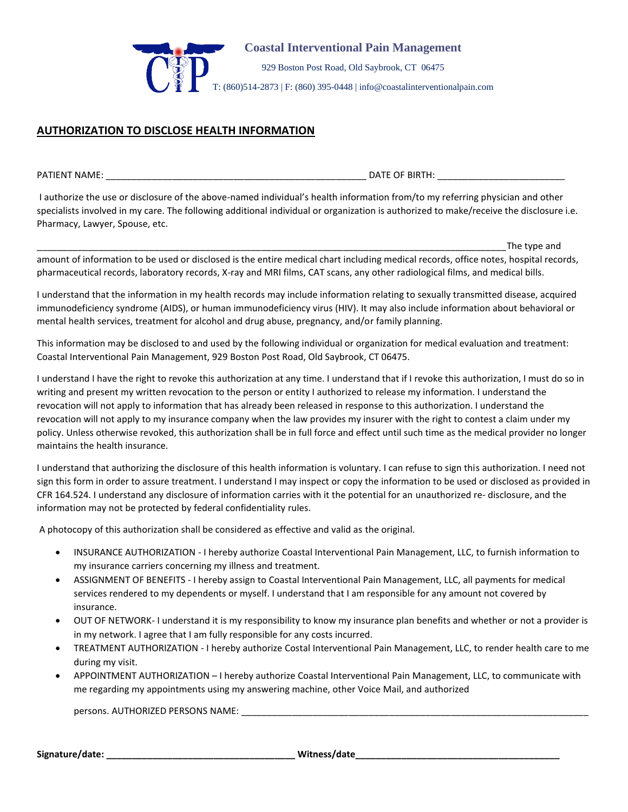

929 Boston Post Road, Old Saybrook, CT 06475

T: (860)514-2873 | F: (860) 395-0448 | info@coastalinterventionalpain.com

## **AUTHORIZATION TO DISCLOSE HEALTH INFORMATION**

PATIENT NAME: \_\_\_\_\_\_\_\_\_\_\_\_\_\_\_\_\_\_\_\_\_\_\_\_\_\_\_\_\_\_\_\_\_\_\_\_\_\_\_\_\_\_\_\_\_\_\_\_\_\_\_ DATE OF BIRTH: \_\_\_\_\_\_\_\_\_\_\_\_\_\_\_\_\_\_\_\_\_\_\_\_\_

I authorize the use or disclosure of the above-named individual's health information from/to my referring physician and other specialists involved in my care. The following additional individual or organization is authorized to make/receive the disclosure i.e. Pharmacy, Lawyer, Spouse, etc.

\_\_\_\_\_\_\_\_\_\_\_\_\_\_\_\_\_\_\_\_\_\_\_\_\_\_\_\_\_\_\_\_\_\_\_\_\_\_\_\_\_\_\_\_\_\_\_\_\_\_\_\_\_\_\_\_\_\_\_\_\_\_\_\_\_\_\_\_\_\_\_\_\_\_\_\_\_\_\_\_\_\_\_\_\_\_\_\_\_\_\_\_The type and amount of information to be used or disclosed is the entire medical chart including medical records, office notes, hospital records, pharmaceutical records, laboratory records, X-ray and MRI films, CAT scans, any other radiological films, and medical bills.

I understand that the information in my health records may include information relating to sexually transmitted disease, acquired immunodeficiency syndrome (AIDS), or human immunodeficiency virus (HIV). It may also include information about behavioral or mental health services, treatment for alcohol and drug abuse, pregnancy, and/or family planning.

This information may be disclosed to and used by the following individual or organization for medical evaluation and treatment: Coastal Interventional Pain Management, 929 Boston Post Road, Old Saybrook, CT 06475.

I understand I have the right to revoke this authorization at any time. I understand that if I revoke this authorization, I must do so in writing and present my written revocation to the person or entity I authorized to release my information. I understand the revocation will not apply to information that has already been released in response to this authorization. I understand the revocation will not apply to my insurance company when the law provides my insurer with the right to contest a claim under my policy. Unless otherwise revoked, this authorization shall be in full force and effect until such time as the medical provider no longer maintains the health insurance.

I understand that authorizing the disclosure of this health information is voluntary. I can refuse to sign this authorization. I need not sign this form in order to assure treatment. I understand I may inspect or copy the information to be used or disclosed as provided in CFR 164.524. I understand any disclosure of information carries with it the potential for an unauthorized re- disclosure, and the information may not be protected by federal confidentiality rules.

A photocopy of this authorization shall be considered as effective and valid as the original.

- INSURANCE AUTHORIZATION I hereby authorize Coastal Interventional Pain Management, LLC, to furnish information to my insurance carriers concerning my illness and treatment.
- ASSIGNMENT OF BENEFITS I hereby assign to Coastal Interventional Pain Management, LLC, all payments for medical services rendered to my dependents or myself. I understand that I am responsible for any amount not covered by insurance.
- OUT OF NETWORK- I understand it is my responsibility to know my insurance plan benefits and whether or not a provider is in my network. I agree that I am fully responsible for any costs incurred.
- TREATMENT AUTHORIZATION I hereby authorize Costal Interventional Pain Management, LLC, to render health care to me during my visit.
- APPOINTMENT AUTHORIZATION I hereby authorize Coastal Interventional Pain Management, LLC, to communicate with me regarding my appointments using my answering machine, other Voice Mail, and authorized

persons. AUTHORIZED PERSONS NAME: \_\_\_\_\_\_\_\_\_\_\_\_\_\_\_\_\_\_\_\_\_\_\_\_\_\_\_\_\_\_\_\_\_\_\_\_\_\_\_\_\_\_\_\_\_\_\_\_\_\_\_\_\_\_\_\_\_\_\_\_\_\_\_\_\_\_\_\_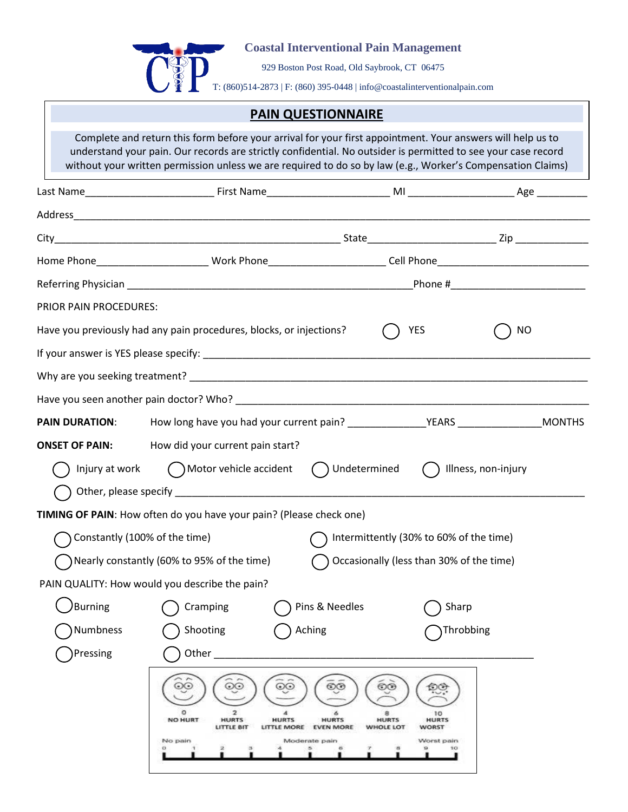

929 Boston Post Road, Old Saybrook, CT 06475

T: (860)514-2873 | F: (860) 395-0448 | info@coastalinterventionalpain.com

# **PAIN QUESTIONNAIRE**

Complete and return this form before your arrival for your first appointment. Your answers will help us to understand your pain. Our records are strictly confidential. No outsider is permitted to see your case record without your written permission unless we are required to do so by law (e.g., Worker's Compensation Claims)

|                                                                     |                                                  | Home Phone______________________________Work Phone_________________________Cell Phone_______________________________ |                                                                                          |                                            |  |
|---------------------------------------------------------------------|--------------------------------------------------|----------------------------------------------------------------------------------------------------------------------|------------------------------------------------------------------------------------------|--------------------------------------------|--|
|                                                                     |                                                  |                                                                                                                      |                                                                                          | _Phone #__________________________________ |  |
| PRIOR PAIN PROCEDURES:                                              |                                                  |                                                                                                                      |                                                                                          |                                            |  |
| Have you previously had any pain procedures, blocks, or injections? |                                                  |                                                                                                                      | YES                                                                                      | <b>NO</b>                                  |  |
|                                                                     |                                                  |                                                                                                                      |                                                                                          |                                            |  |
|                                                                     |                                                  |                                                                                                                      |                                                                                          |                                            |  |
|                                                                     |                                                  |                                                                                                                      |                                                                                          |                                            |  |
| <b>PAIN DURATION:</b>                                               |                                                  |                                                                                                                      |                                                                                          |                                            |  |
| <b>ONSET OF PAIN:</b>                                               | How did your current pain start?                 |                                                                                                                      |                                                                                          |                                            |  |
|                                                                     | Injury at work $($ $)$ Motor vehicle accident    | () Undetermined                                                                                                      |                                                                                          | Illness, non-injury                        |  |
|                                                                     |                                                  |                                                                                                                      |                                                                                          |                                            |  |
|                                                                     |                                                  | TIMING OF PAIN: How often do you have your pain? (Please check one)                                                  |                                                                                          |                                            |  |
| Constantly (100% of the time)                                       |                                                  |                                                                                                                      | Intermittently (30% to 60% of the time)                                                  |                                            |  |
|                                                                     | Nearly constantly (60% to 95% of the time)       |                                                                                                                      | Occasionally (less than 30% of the time)                                                 |                                            |  |
|                                                                     | PAIN QUALITY: How would you describe the pain?   |                                                                                                                      |                                                                                          |                                            |  |
| /Burning                                                            | Cramping                                         | Pins & Needles                                                                                                       | Sharp                                                                                    |                                            |  |
| Numbness                                                            | Shooting                                         | Aching                                                                                                               |                                                                                          | Throbbing                                  |  |
| Pressing                                                            | Other                                            |                                                                                                                      |                                                                                          |                                            |  |
|                                                                     | NO HURT<br><b>HURTS</b><br>LITTLE BIT<br>No pain | <b>HURTS</b><br><b>HURTS</b><br>LITTLE MORE EVEN MORE<br>Moderate pain                                               | ලල<br>а<br>10<br><b>HURTS</b><br><b>HURTS</b><br>WHOLE LOT<br><b>WORST</b><br>Worst pain |                                            |  |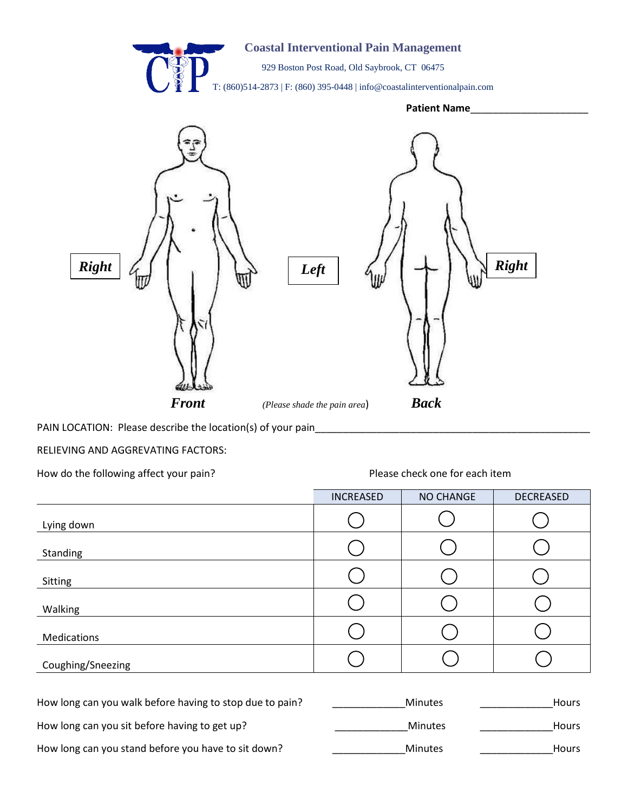

PAIN LOCATION: Please describe the location(s) of your pain\_\_\_\_\_\_\_\_\_\_\_\_\_\_\_\_\_\_\_\_\_\_\_\_\_\_\_\_\_\_\_\_\_\_\_\_\_\_\_\_\_\_\_\_\_\_\_\_\_ ATIUN: r<sup>u…\_\_\_\_</sup>

RELIEVING AND AGGREVATING FACTORS:

How do the following affect your pain? The example are set one for each item please check one for each item

Please check one for each item

\_\_\_\_\_\_

|                   | INCREASED | NO CHANGE | DECREASED |
|-------------------|-----------|-----------|-----------|
| Lying down        |           |           |           |
| Standing          |           |           |           |
| Sitting           |           |           |           |
| Walking           |           |           |           |
| Medications       |           |           |           |
| Coughing/Sneezing |           |           |           |

| How long can you walk before having to stop due to pain? | <b>Minutes</b> | <b>Hours</b> |
|----------------------------------------------------------|----------------|--------------|
| How long can you sit before having to get up?            | Minutes        | <b>Hours</b> |
| How long can you stand before you have to sit down?      | <b>Minutes</b> | <b>Hours</b> |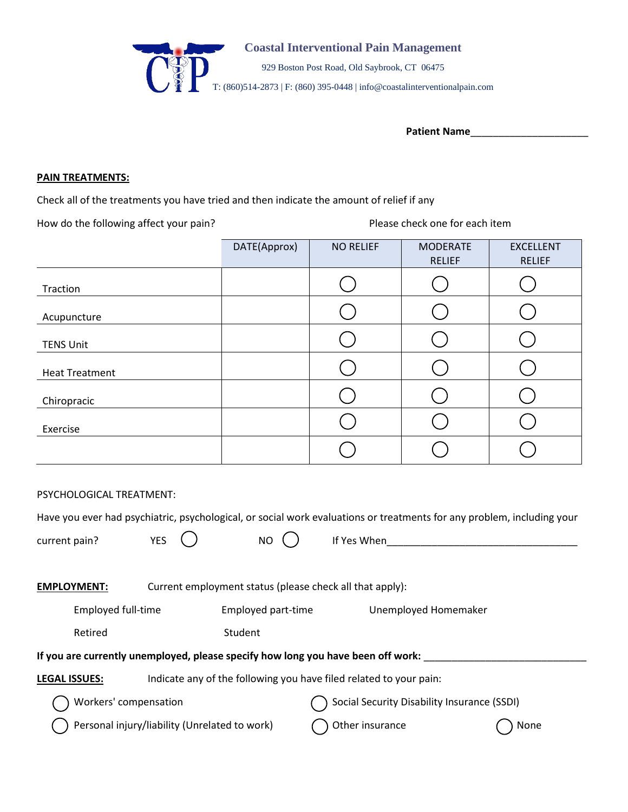

Patient Name

## **PAIN TREATMENTS:**

Check all of the treatments you have tried and then indicate the amount of relief if any

How do the following affect your pain? The state of the set of Please check one for each item

|                       | DATE(Approx) | <b>NO RELIEF</b> | <b>MODERATE</b><br><b>RELIEF</b> | <b>EXCELLENT</b><br><b>RELIEF</b> |
|-----------------------|--------------|------------------|----------------------------------|-----------------------------------|
| Traction              |              |                  |                                  |                                   |
| Acupuncture           |              |                  |                                  |                                   |
| <b>TENS Unit</b>      |              |                  |                                  |                                   |
| <b>Heat Treatment</b> |              |                  |                                  |                                   |
| Chiropracic           |              |                  |                                  |                                   |
| Exercise              |              |                  |                                  |                                   |
|                       |              |                  |                                  |                                   |

PSYCHOLOGICAL TREATMENT:

|                                                                                            |                                               |  |                    | Have you ever had psychiatric, psychological, or social work evaluations or treatments for any problem, including your |      |
|--------------------------------------------------------------------------------------------|-----------------------------------------------|--|--------------------|------------------------------------------------------------------------------------------------------------------------|------|
| current pain?                                                                              | <b>YES</b>                                    |  | NO.                | If Yes When                                                                                                            |      |
| <b>EMPLOYMENT:</b>                                                                         |                                               |  |                    | Current employment status (please check all that apply):                                                               |      |
|                                                                                            | <b>Employed full-time</b>                     |  | Employed part-time | Unemployed Homemaker                                                                                                   |      |
|                                                                                            | Retired                                       |  | Student            |                                                                                                                        |      |
|                                                                                            |                                               |  |                    | If you are currently unemployed, please specify how long you have been off work:                                       |      |
| Indicate any of the following you have filed related to your pain:<br><b>LEGAL ISSUES:</b> |                                               |  |                    |                                                                                                                        |      |
| Workers' compensation                                                                      |                                               |  |                    | Social Security Disability Insurance (SSDI)                                                                            |      |
|                                                                                            | Personal injury/liability (Unrelated to work) |  |                    | Other insurance                                                                                                        | None |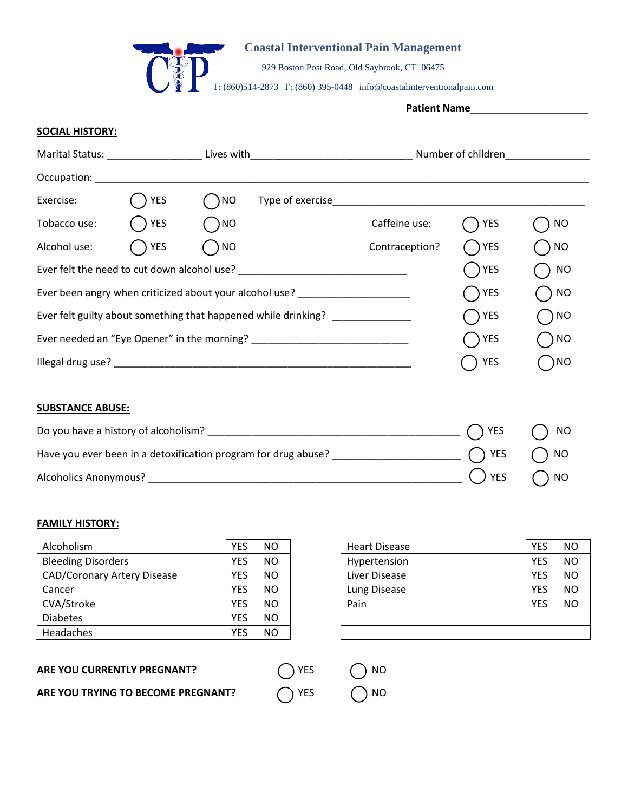

929 Boston Post Road, Old Saybrook, CT 06475

T: (860)514-2873 | F: (860) 395-0448 | info@coastalinterventionalpain.com

**Patient Name**\_\_\_\_\_\_\_\_\_\_\_\_\_\_\_\_\_\_\_\_\_

### **SOCIAL HISTORY:**

|                                             | Marital Status: National Property of the Marital Status:<br>Lives with |                 |                                                                                  | Number of children |                     |            |
|---------------------------------------------|------------------------------------------------------------------------|-----------------|----------------------------------------------------------------------------------|--------------------|---------------------|------------|
| Occupation: Decument                        |                                                                        |                 |                                                                                  |                    |                     |            |
| Exercise:                                   | <b>YES</b>                                                             | ) <sub>NO</sub> | Type of exercise                                                                 |                    |                     |            |
| Tobacco use:                                | <b>YES</b>                                                             | )NO             |                                                                                  | Caffeine use:      | YES                 | <b>NO</b>  |
| Alcohol use:                                | <b>YES</b>                                                             | $\int$ NO       |                                                                                  | Contraception?     | ( )YES              | $\big)$ NO |
| Ever felt the need to cut down alcohol use? |                                                                        |                 |                                                                                  |                    | YES                 | $\big)$ NO |
|                                             |                                                                        |                 | Ever been angry when criticized about your alcohol use? ________________________ |                    | $\int$ $\gamma$ YES | $\big)$ NO |
|                                             |                                                                        |                 | Ever felt guilty about something that happened while drinking?                   |                    | ()YES               | $\big)$ NO |
|                                             |                                                                        |                 | Ever needed an "Eye Opener" in the morning?                                      |                    | YES                 | $\big)$ NO |
|                                             |                                                                        |                 |                                                                                  |                    | ) YES               | $\big)$ NO |
|                                             |                                                                        |                 |                                                                                  |                    |                     |            |

## **SUBSTANCE ABUSE:**

| Do you have a history of alcoholism?                           | $\bigcap$ YES $\bigcap$ NO              |  |
|----------------------------------------------------------------|-----------------------------------------|--|
| Have you ever been in a detoxification program for drug abuse? | $\bigcap$ YES ( ) NO                    |  |
| <b>Alcoholics Anonymous?</b>                                   | $\bigcirc$ $\bigcirc$ YES $\bigcirc$ NO |  |

#### **FAMILY HISTORY:**

| Alcoholism                         | YES        | <b>NO</b> | <b>Heart Disease</b> | <b>YES</b> | <sub>NO</sub> |
|------------------------------------|------------|-----------|----------------------|------------|---------------|
| <b>Bleeding Disorders</b>          | YES        | <b>NO</b> | Hypertension         | <b>YES</b> | <b>NO</b>     |
| <b>CAD/Coronary Artery Disease</b> | YES        | <b>NO</b> | Liver Disease        | <b>YES</b> | <b>NO</b>     |
| Cancer                             | <b>YES</b> | <b>NO</b> | Lung Disease         | <b>YES</b> | <sub>NO</sub> |
| CVA/Stroke                         | YES        | <b>NO</b> | Pain                 | <b>YES</b> | <b>NO</b>     |
| <b>Diabetes</b>                    | <b>YES</b> | <b>NO</b> |                      |            |               |
| Headaches                          | YES        | <b>NO</b> |                      |            |               |
|                                    |            |           |                      |            |               |

| <b>FIEALL DISEASE</b> | נ∟ו        | טוו       |
|-----------------------|------------|-----------|
| Hypertension          | <b>YES</b> | NO        |
| Liver Disease         | <b>YES</b> | ΝO        |
| Lung Disease          | <b>YES</b> | <b>NO</b> |
| Pain                  | <b>YES</b> | <b>NO</b> |
|                       |            |           |
|                       |            |           |
|                       |            |           |

**ARE YOU CURRENTLY PREGNANT?**  $\bigcap$  YES  $\bigcap$  NO

**ARE YOU TRYING TO BECOME PREGNANT?**  $\bigcap$  YES  $\bigcap$  NO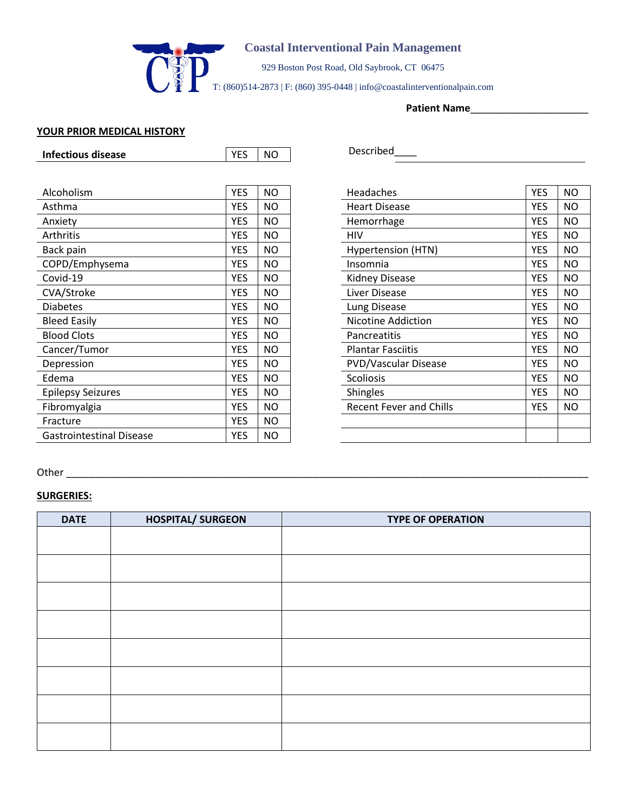

929 Boston Post Road, Old Saybrook, CT 06475

T: (860)514-2873 | F: (860) 395-0448 | info@coastalinterventionalpain.com

**Patient Name**\_\_\_\_\_\_\_\_\_\_\_\_\_\_\_\_\_\_\_\_\_

### **YOUR PRIOR MEDICAL HISTORY**

| <b>Infectious disease</b>       | <b>YES</b> | <b>NO</b> | Described                                                 |
|---------------------------------|------------|-----------|-----------------------------------------------------------|
|                                 |            |           |                                                           |
| Alcoholism                      | <b>YES</b> | <b>NO</b> | <b>YES</b><br><b>NO</b><br>Headaches                      |
| Asthma                          | <b>YES</b> | <b>NO</b> | <b>YES</b><br><b>NO</b><br><b>Heart Disease</b>           |
| Anxiety                         | <b>YES</b> | <b>NO</b> | <b>YES</b><br><b>NO</b><br>Hemorrhage                     |
| Arthritis                       | <b>YES</b> | <b>NO</b> | <b>YES</b><br><b>NO</b><br><b>HIV</b>                     |
| Back pain                       | <b>YES</b> | <b>NO</b> | <b>YES</b><br><b>NO</b><br>Hypertension (HTN)             |
| COPD/Emphysema                  | <b>YES</b> | <b>NO</b> | <b>YES</b><br><b>NO</b><br>Insomnia                       |
| Covid-19                        | <b>YES</b> | <b>NO</b> | <b>YES</b><br><b>NO</b><br>Kidney Disease                 |
| CVA/Stroke                      | <b>YES</b> | <b>NO</b> | <b>YES</b><br><b>NO</b><br>Liver Disease                  |
| <b>Diabetes</b>                 | <b>YES</b> | <b>NO</b> | <b>YES</b><br><b>NO</b><br>Lung Disease                   |
| <b>Bleed Easily</b>             | <b>YES</b> | <b>NO</b> | <b>YES</b><br><b>NO</b><br>Nicotine Addiction             |
| <b>Blood Clots</b>              | <b>YES</b> | <b>NO</b> | <b>NO</b><br><b>YES</b><br>Pancreatitis                   |
| Cancer/Tumor                    | <b>YES</b> | <b>NO</b> | <b>Plantar Fasciitis</b><br><b>YES</b><br><b>NO</b>       |
| Depression                      | <b>YES</b> | NO.       | <b>YES</b><br><b>NO</b><br><b>PVD/Vascular Disease</b>    |
| Edema                           | <b>YES</b> | <b>NO</b> | <b>YES</b><br><b>NO</b><br>Scoliosis                      |
| <b>Epilepsy Seizures</b>        | <b>YES</b> | <b>NO</b> | <b>YES</b><br><b>NO</b><br><b>Shingles</b>                |
| Fibromyalgia                    | <b>YES</b> | NO.       | <b>Recent Fever and Chills</b><br><b>YES</b><br><b>NO</b> |
| Fracture                        | <b>YES</b> | <b>NO</b> |                                                           |
| <b>Gastrointestinal Disease</b> | <b>YES</b> | <b>NO</b> |                                                           |

| Described |  |  |  |
|-----------|--|--|--|
|           |  |  |  |

| Headaches                      | <b>YES</b> | NO |
|--------------------------------|------------|----|
| <b>Heart Disease</b>           | <b>YES</b> | NΟ |
| Hemorrhage                     | YES        | NΟ |
| HIV                            | YES        | NΟ |
| Hypertension (HTN)             | YES        | NΟ |
| Insomnia                       | YES        | NΟ |
| Kidney Disease                 | YES        | NΟ |
| Liver Disease                  | <b>YES</b> | NΟ |
| Lung Disease                   | <b>YES</b> | NΟ |
| <b>Nicotine Addiction</b>      | <b>YES</b> | NΟ |
| Pancreatitis                   | YES        | NΟ |
| <b>Plantar Fasciitis</b>       | YES        | NO |
| <b>PVD/Vascular Disease</b>    | <b>YES</b> | NΟ |
| <b>Scoliosis</b>               | <b>YES</b> | NΟ |
| <b>Shingles</b>                | <b>YES</b> | NΟ |
| <b>Recent Fever and Chills</b> | YES        | NΟ |
|                                |            |    |
|                                |            |    |

# Other \_\_\_\_\_\_\_\_\_\_\_\_\_\_\_\_\_\_\_\_\_\_\_\_\_\_\_\_\_\_\_\_\_\_\_\_\_\_\_\_\_\_\_\_\_\_\_\_\_\_\_\_\_\_\_\_\_\_\_\_\_\_\_\_\_\_\_\_\_\_\_\_\_\_\_\_\_\_\_\_\_\_\_\_\_\_\_\_\_\_\_\_\_

## **SURGERIES:**

| <b>DATE</b> | <b>HOSPITAL/ SURGEON</b> | <b>TYPE OF OPERATION</b> |
|-------------|--------------------------|--------------------------|
|             |                          |                          |
|             |                          |                          |
|             |                          |                          |
|             |                          |                          |
|             |                          |                          |
|             |                          |                          |
|             |                          |                          |
|             |                          |                          |
|             |                          |                          |
|             |                          |                          |
|             |                          |                          |
|             |                          |                          |
|             |                          |                          |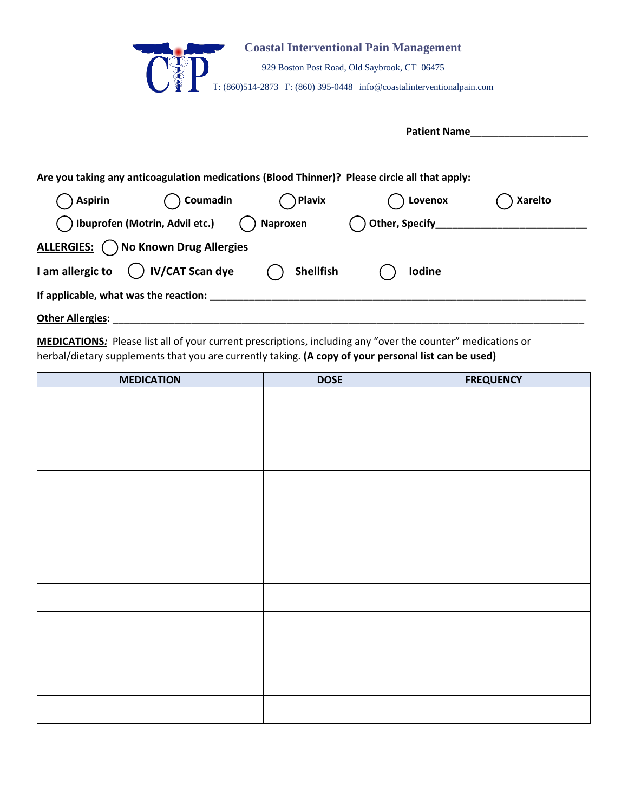|                                                                                               |                                            |                  | <b>Coastal Interventional Pain Management</b><br>929 Boston Post Road, Old Saybrook, CT 06475<br>T: $(860)514-2873$   F: $(860)$ 395-0448   info@coastalinterventionalpain.com |                |
|-----------------------------------------------------------------------------------------------|--------------------------------------------|------------------|--------------------------------------------------------------------------------------------------------------------------------------------------------------------------------|----------------|
|                                                                                               |                                            |                  | <b>Patient Name</b>                                                                                                                                                            |                |
| Are you taking any anticoagulation medications (Blood Thinner)? Please circle all that apply: |                                            |                  |                                                                                                                                                                                |                |
| <b>Aspirin</b>                                                                                | Coumadin                                   | Plavix           | Lovenox                                                                                                                                                                        | <b>Xarelto</b> |
|                                                                                               | Ibuprofen (Motrin, Advil etc.)             | Naproxen         | Other, Specify_                                                                                                                                                                |                |
|                                                                                               | ALLERGIES: ( ) No Known Drug Allergies     |                  |                                                                                                                                                                                |                |
| I am allergic to                                                                              | ) IV/CAT Scan dye                          | <b>Shellfish</b> | <b>Iodine</b>                                                                                                                                                                  |                |
|                                                                                               | If applicable, what was the reaction: ____ |                  |                                                                                                                                                                                |                |
| <b>Other Allergies:</b>                                                                       |                                            |                  |                                                                                                                                                                                |                |

 $\overline{\phantom{a}}$ 

 $\overline{\phantom{a}}$ 

MEDICATIONS: Please list all of your current prescriptions, including any "over the counter" medications or herbal/dietary supplements that you are currently taking. **(A copy of your personal list can be used)** 

| <b>MEDICATION</b> | <b>DOSE</b> | <b>FREQUENCY</b> |
|-------------------|-------------|------------------|
|                   |             |                  |
|                   |             |                  |
|                   |             |                  |
|                   |             |                  |
|                   |             |                  |
|                   |             |                  |
|                   |             |                  |
|                   |             |                  |
|                   |             |                  |
|                   |             |                  |
|                   |             |                  |
|                   |             |                  |
|                   |             |                  |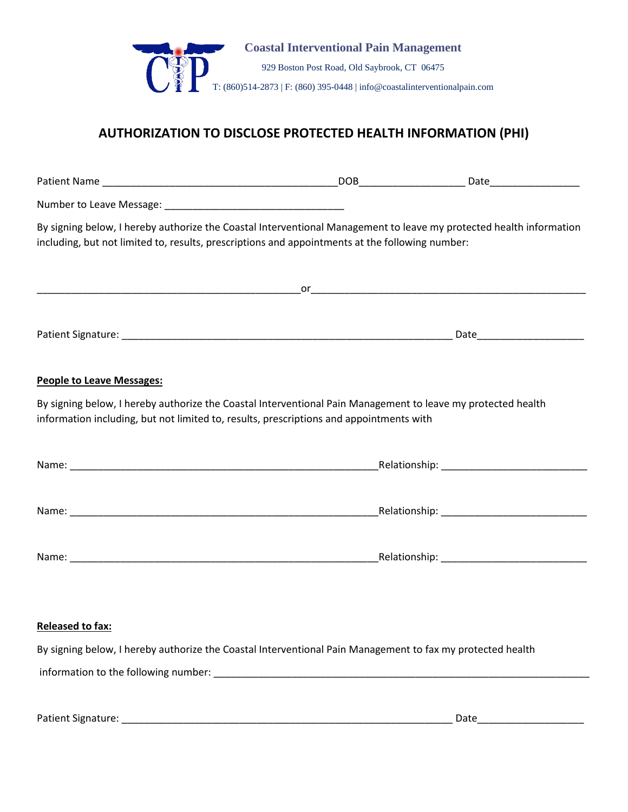

# **AUTHORIZATION TO DISCLOSE PROTECTED HEALTH INFORMATION (PHI)**

| By signing below, I hereby authorize the Coastal Interventional Management to leave my protected health information<br>including, but not limited to, results, prescriptions and appointments at the following number: |  |
|------------------------------------------------------------------------------------------------------------------------------------------------------------------------------------------------------------------------|--|
|                                                                                                                                                                                                                        |  |
|                                                                                                                                                                                                                        |  |
| <b>People to Leave Messages:</b>                                                                                                                                                                                       |  |
| By signing below, I hereby authorize the Coastal Interventional Pain Management to leave my protected health<br>information including, but not limited to, results, prescriptions and appointments with                |  |
|                                                                                                                                                                                                                        |  |
|                                                                                                                                                                                                                        |  |
|                                                                                                                                                                                                                        |  |
| Released to fax:<br>By signing below, I hereby authorize the Coastal Interventional Pain Management to fax my protected health                                                                                         |  |
|                                                                                                                                                                                                                        |  |

Patient Signature: \_\_\_\_\_\_\_\_\_\_\_\_\_\_\_\_\_\_\_\_\_\_\_\_\_\_\_\_\_\_\_\_\_\_\_\_\_\_\_\_\_\_\_\_\_\_\_\_\_\_\_\_\_\_\_\_\_\_\_ Date\_\_\_\_\_\_\_\_\_\_\_\_\_\_\_\_\_\_\_